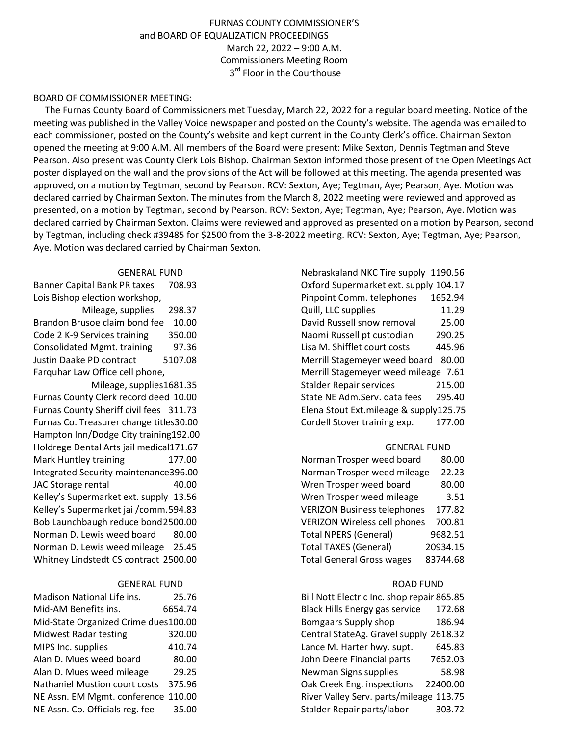# FURNAS COUNTY COMMISSIONER'S and BOARD OF EQUALIZATION PROCEEDINGS March 22, 2022 – 9:00 A.M. Commissioners Meeting Room 3<sup>rd</sup> Floor in the Courthouse

## BOARD OF COMMISSIONER MEETING:

 The Furnas County Board of Commissioners met Tuesday, March 22, 2022 for a regular board meeting. Notice of the meeting was published in the Valley Voice newspaper and posted on the County's website. The agenda was emailed to each commissioner, posted on the County's website and kept current in the County Clerk's office. Chairman Sexton opened the meeting at 9:00 A.M. All members of the Board were present: Mike Sexton, Dennis Tegtman and Steve Pearson. Also present was County Clerk Lois Bishop. Chairman Sexton informed those present of the Open Meetings Act poster displayed on the wall and the provisions of the Act will be followed at this meeting. The agenda presented was approved, on a motion by Tegtman, second by Pearson. RCV: Sexton, Aye; Tegtman, Aye; Pearson, Aye. Motion was declared carried by Chairman Sexton. The minutes from the March 8, 2022 meeting were reviewed and approved as presented, on a motion by Tegtman, second by Pearson. RCV: Sexton, Aye; Tegtman, Aye; Pearson, Aye. Motion was declared carried by Chairman Sexton. Claims were reviewed and approved as presented on a motion by Pearson, second by Tegtman, including check #39485 for \$2500 from the 3-8-2022 meeting. RCV: Sexton, Aye; Tegtman, Aye; Pearson, Aye. Motion was declared carried by Chairman Sexton.

### GENERAL FUND

Banner Capital Bank PR taxes 708.93 Lois Bishop election workshop, Mileage, supplies 298.37 Brandon Brusoe claim bond fee 10.00 Code 2 K-9 Services training 350.00 Consolidated Mgmt. training 97.36 Justin Daake PD contract 5107.08 Farquhar Law Office cell phone,

 Mileage, supplies1681.35 Furnas County Clerk record deed 10.00 Furnas County Sheriff civil fees 311.73 Furnas Co. Treasurer change titles30.00 Hampton Inn/Dodge City training192.00 Holdrege Dental Arts jail medical171.67 Mark Huntley training 177.00 Integrated Security maintenance396.00 JAC Storage rental 40.00 Kelley's Supermarket ext. supply 13.56 Kelley's Supermarket jai /comm. 594.83 Bob Launchbaugh reduce bond 2500.00 Norman D. Lewis weed board 80.00 Norman D. Lewis weed mileage 25.45 Whitney Lindstedt CS contract 2500.00

### GENERAL FUND

| Madison National Life ins.           | 25.76   |
|--------------------------------------|---------|
| Mid-AM Benefits ins.                 | 6654.74 |
| Mid-State Organized Crime dues100.00 |         |
| <b>Midwest Radar testing</b>         | 320.00  |
| MIPS Inc. supplies                   | 410.74  |
| Alan D. Mues weed board              | 80.00   |
| Alan D. Mues weed mileage            | 29.25   |
| <b>Nathaniel Mustion court costs</b> | 375.96  |
| NE Assn. EM Mgmt. conference 110.00  |         |
| NE Assn. Co. Officials reg. fee      | 35.00   |

| Nebraskaland NKC Tire supply 1190.56   |         |
|----------------------------------------|---------|
| Oxford Supermarket ext. supply 104.17  |         |
| Pinpoint Comm. telephones              | 1652.94 |
| Quill, LLC supplies                    | 11.29   |
| David Russell snow removal             | 25.00   |
| Naomi Russell pt custodian             | 290.25  |
| Lisa M. Shifflet court costs           | 445.96  |
| Merrill Stagemeyer weed board          | 80.00   |
| Merrill Stagemeyer weed mileage 7.61   |         |
| <b>Stalder Repair services</b>         | 215.00  |
| State NE Adm.Serv. data fees           | 295.40  |
| Elena Stout Ext.mileage & supply125.75 |         |
| Cordell Stover training exp.           | 177.00  |

### GENERAL FUND

| Norman Trosper weed board           | 80.00    |
|-------------------------------------|----------|
| Norman Trosper weed mileage         | 22.23    |
| Wren Trosper weed board             | 80.00    |
| Wren Trosper weed mileage           | 3.51     |
| <b>VERIZON Business telephones</b>  | 177.82   |
| <b>VERIZON Wireless cell phones</b> | 700.81   |
| <b>Total NPERS (General)</b>        | 9682.51  |
| <b>Total TAXES (General)</b>        | 20934.15 |
| <b>Total General Gross wages</b>    | 83744.68 |

#### ROAD FUND

| Bill Nott Electric Inc. shop repair 865.85 |          |
|--------------------------------------------|----------|
| <b>Black Hills Energy gas service</b>      | 172.68   |
| <b>Bomgaars Supply shop</b>                | 186.94   |
| Central StateAg. Gravel supply 2618.32     |          |
| Lance M. Harter hwy. supt.                 | 645.83   |
| John Deere Financial parts                 | 7652.03  |
| Newman Signs supplies                      | 58.98    |
| Oak Creek Eng. inspections                 | 22400.00 |
| River Valley Serv. parts/mileage 113.75    |          |
| Stalder Repair parts/labor                 | 303.72   |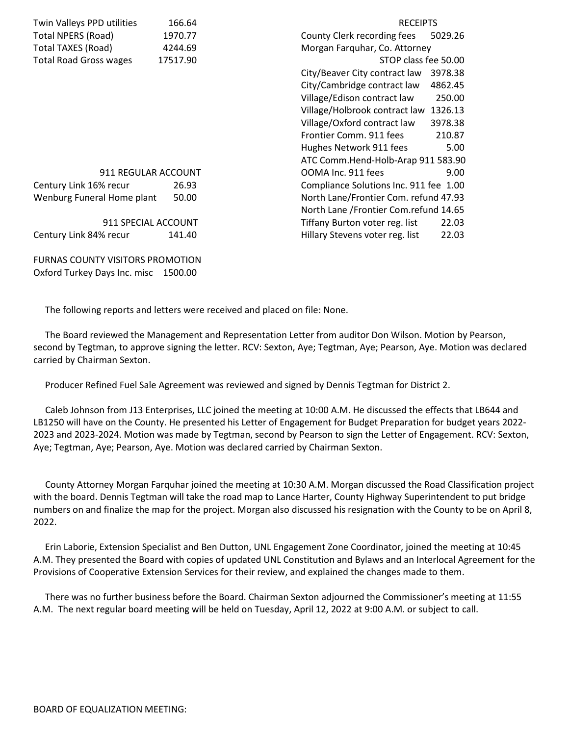| 166.64              | <b>RECEIPTS</b>                          |
|---------------------|------------------------------------------|
| 1970.77             | County Clerk recording fees<br>5029.26   |
| 4244.69             | Morgan Farquhar, Co. Attorney            |
| 17517.90            | STOP class fee 50.00                     |
|                     | City/Beaver City contract law<br>3978.38 |
|                     | City/Cambridge contract law<br>4862.45   |
|                     | Village/Edison contract law<br>250.00    |
|                     | Village/Holbrook contract law<br>1326.13 |
|                     | Village/Oxford contract law<br>3978.38   |
|                     | Frontier Comm. 911 fees<br>210.87        |
|                     | Hughes Network 911 fees<br>5.00          |
|                     | ATC Comm.Hend-Holb-Arap 911 583.90       |
| 911 REGULAR ACCOUNT | OOMA Inc. 911 fees<br>9.00               |
| 26.93               | Compliance Solutions Inc. 911 fee 1.00   |
| 50.00               | North Lane/Frontier Com. refund 47.93    |
|                     | North Lane / Frontier Com.refund 14.65   |
| 911 SPECIAL ACCOUNT | 22.03<br>Tiffany Burton voter reg. list  |
| 141.40              | Hillary Stevens voter reg. list<br>22.03 |
|                     |                                          |

FURNAS COUNTY VISITORS PROMOTION Oxford Turkey Days Inc. misc 1500.00

The following reports and letters were received and placed on file: None.

 The Board reviewed the Management and Representation Letter from auditor Don Wilson. Motion by Pearson, second by Tegtman, to approve signing the letter. RCV: Sexton, Aye; Tegtman, Aye; Pearson, Aye. Motion was declared carried by Chairman Sexton.

Producer Refined Fuel Sale Agreement was reviewed and signed by Dennis Tegtman for District 2.

 Caleb Johnson from J13 Enterprises, LLC joined the meeting at 10:00 A.M. He discussed the effects that LB644 and LB1250 will have on the County. He presented his Letter of Engagement for Budget Preparation for budget years 2022- 2023 and 2023-2024. Motion was made by Tegtman, second by Pearson to sign the Letter of Engagement. RCV: Sexton, Aye; Tegtman, Aye; Pearson, Aye. Motion was declared carried by Chairman Sexton.

 County Attorney Morgan Farquhar joined the meeting at 10:30 A.M. Morgan discussed the Road Classification project with the board. Dennis Tegtman will take the road map to Lance Harter, County Highway Superintendent to put bridge numbers on and finalize the map for the project. Morgan also discussed his resignation with the County to be on April 8, 2022.

 Erin Laborie, Extension Specialist and Ben Dutton, UNL Engagement Zone Coordinator, joined the meeting at 10:45 A.M. They presented the Board with copies of updated UNL Constitution and Bylaws and an Interlocal Agreement for the Provisions of Cooperative Extension Services for their review, and explained the changes made to them.

 There was no further business before the Board. Chairman Sexton adjourned the Commissioner's meeting at 11:55 A.M. The next regular board meeting will be held on Tuesday, April 12, 2022 at 9:00 A.M. or subject to call.